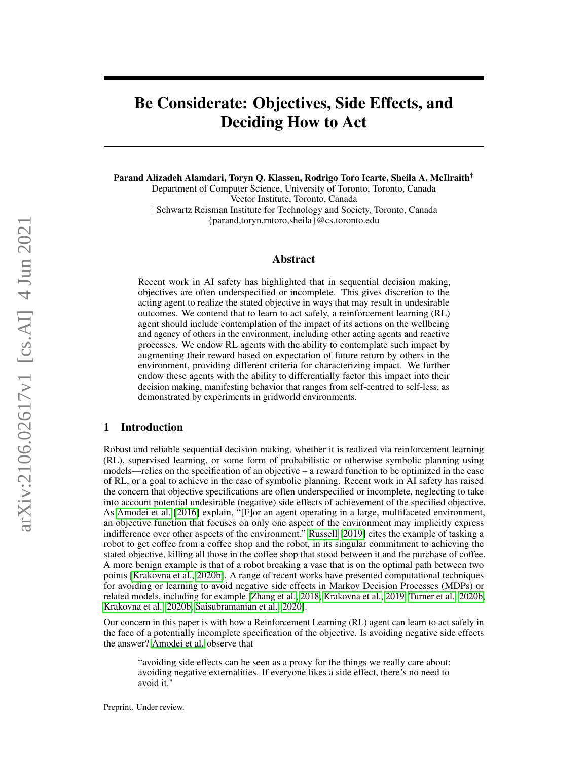# Be Considerate: Objectives, Side Effects, and Deciding How to Act

Parand Alizadeh Alamdari, Toryn Q. Klassen, Rodrigo Toro Icarte, Sheila A. McIlraith† Department of Computer Science, University of Toronto, Toronto, Canada Vector Institute, Toronto, Canada

† Schwartz Reisman Institute for Technology and Society, Toronto, Canada {parand,toryn,rntoro,sheila}@cs.toronto.edu

### Abstract

Recent work in AI safety has highlighted that in sequential decision making, objectives are often underspecified or incomplete. This gives discretion to the acting agent to realize the stated objective in ways that may result in undesirable outcomes. We contend that to learn to act safely, a reinforcement learning (RL) agent should include contemplation of the impact of its actions on the wellbeing and agency of others in the environment, including other acting agents and reactive processes. We endow RL agents with the ability to contemplate such impact by augmenting their reward based on expectation of future return by others in the environment, providing different criteria for characterizing impact. We further endow these agents with the ability to differentially factor this impact into their decision making, manifesting behavior that ranges from self-centred to self-less, as demonstrated by experiments in gridworld environments.

# <span id="page-0-0"></span>1 Introduction

Robust and reliable sequential decision making, whether it is realized via reinforcement learning (RL), supervised learning, or some form of probabilistic or otherwise symbolic planning using models—relies on the specification of an objective – a reward function to be optimized in the case of RL, or a goal to achieve in the case of symbolic planning. Recent work in AI safety has raised the concern that objective specifications are often underspecified or incomplete, neglecting to take into account potential undesirable (negative) side effects of achievement of the specified objective. As [Amodei et al.](#page-10-0) [\[2016\]](#page-10-0) explain, "[F]or an agent operating in a large, multifaceted environment, an objective function that focuses on only one aspect of the environment may implicitly express indifference over other aspects of the environment." [Russell](#page-10-1) [\[2019\]](#page-10-1) cites the example of tasking a robot to get coffee from a coffee shop and the robot, in its singular commitment to achieving the stated objective, killing all those in the coffee shop that stood between it and the purchase of coffee. A more benign example is that of a robot breaking a vase that is on the optimal path between two points [\[Krakovna et al., 2020b\]](#page-10-2). A range of recent works have presented computational techniques for avoiding or learning to avoid negative side effects in Markov Decision Processes (MDPs) or related models, including for example [\[Zhang et al., 2018,](#page-11-0) [Krakovna et al., 2019,](#page-10-3) [Turner et al., 2020b,](#page-11-1) [Krakovna et al., 2020b,](#page-10-2) [Saisubramanian et al., 2020\]](#page-11-2).

Our concern in this paper is with how a Reinforcement Learning (RL) agent can learn to act safely in the face of a potentially incomplete specification of the objective. Is avoiding negative side effects the answer? [Amodei et al.](#page-10-0) observe that

"avoiding side effects can be seen as a proxy for the things we really care about: avoiding negative externalities. If everyone likes a side effect, there's no need to avoid it."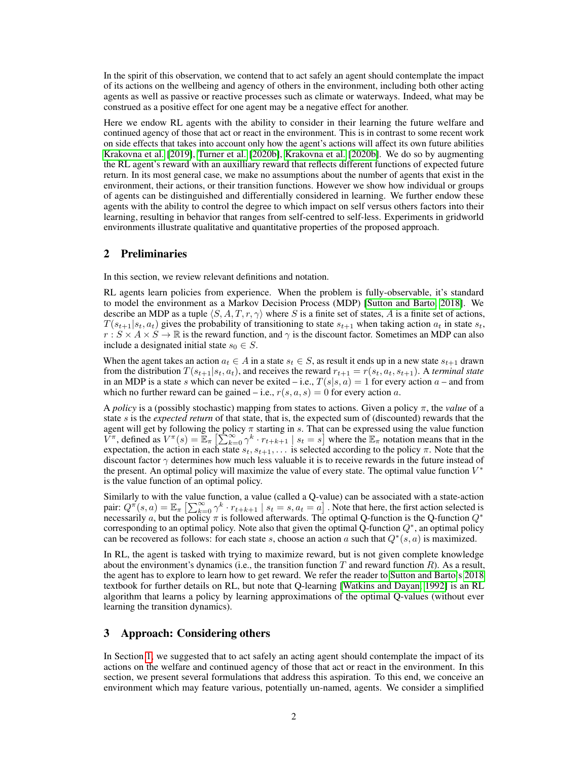In the spirit of this observation, we contend that to act safely an agent should contemplate the impact of its actions on the wellbeing and agency of others in the environment, including both other acting agents as well as passive or reactive processes such as climate or waterways. Indeed, what may be construed as a positive effect for one agent may be a negative effect for another.

Here we endow RL agents with the ability to consider in their learning the future welfare and continued agency of those that act or react in the environment. This is in contrast to some recent work on side effects that takes into account only how the agent's actions will affect its own future abilities [Krakovna et al.](#page-10-3) [\[2019\]](#page-10-3), [Turner et al.](#page-11-1) [\[2020b\]](#page-11-1), [Krakovna et al.](#page-10-2) [\[2020b\]](#page-10-2). We do so by augmenting the RL agent's reward with an auxilliary reward that reflects different functions of expected future return. In its most general case, we make no assumptions about the number of agents that exist in the environment, their actions, or their transition functions. However we show how individual or groups of agents can be distinguished and differentially considered in learning. We further endow these agents with the ability to control the degree to which impact on self versus others factors into their learning, resulting in behavior that ranges from self-centred to self-less. Experiments in gridworld environments illustrate qualitative and quantitative properties of the proposed approach.

# 2 Preliminaries

In this section, we review relevant definitions and notation.

RL agents learn policies from experience. When the problem is fully-observable, it's standard to model the environment as a Markov Decision Process (MDP) [\[Sutton and Barto, 2018\]](#page-11-3). We describe an MDP as a tuple  $\langle S, A, T, r, \gamma \rangle$  where S is a finite set of states, A is a finite set of actions,  $T(s_{t+1}|s_t, a_t)$  gives the probability of transitioning to state  $s_{t+1}$  when taking action  $a_t$  in state  $s_t$ ,  $r : S \times A \times S \to \mathbb{R}$  is the reward function, and  $\gamma$  is the discount factor. Sometimes an MDP can also include a designated initial state  $s_0 \in S$ .

When the agent takes an action  $a_t \in A$  in a state  $s_t \in S$ , as result it ends up in a new state  $s_{t+1}$  drawn from the distribution  $T(s_{t+1}|s_t, a_t)$ , and receives the reward  $r_{t+1} = r(s_t, a_t, s_{t+1})$ . A *terminal state* in an MDP is a state s which can never be exited – i.e.,  $T(s|s, a) = 1$  for every action a – and from which no further reward can be gained – i.e.,  $r(s, a, s) = 0$  for every action a.

A *policy* is a (possibly stochastic) mapping from states to actions. Given a policy  $\pi$ , the *value* of a state s is the *expected return* of that state, that is, the expected sum of (discounted) rewards that the agent will get by following the policy  $\pi$  starting in s. That can be expressed using the value function  $V^{\pi}$ , defined as  $V^{\pi}(s) = \mathbb{E}_{\pi} \left[ \sum_{k=0}^{\infty} \gamma^{k} \cdot r_{t+k+1} \mid s_t = s \right]$  where the  $\mathbb{E}_{\pi}$  notation means that in the expectation, the action in each state  $s_t, s_{t+1}, \ldots$  is selected according to the policy  $\pi$ . Note that the discount factor  $\gamma$  determines how much less valuable it is to receive rewards in the future instead of the present. An optimal policy will maximize the value of every state. The optimal value function  $V^*$ is the value function of an optimal policy.

Similarly to with the value function, a value (called a Q-value) can be associated with a state-action pair:  $Q^{\pi}(s, a) = \mathbb{E}_{\pi} \left[ \sum_{k=0}^{\infty} \gamma^{k} \cdot r_{t+k+1} \mid s_t = s, a_t = a \right]$ . Note that here, the first action selected is necessarily a, but the policy  $\pi$  is followed afterwards. The optimal Q-function is the Q-function  $Q^*$ corresponding to an optimal policy. Note also that given the optimal Q-function  $Q^*$ , an optimal policy can be recovered as follows: for each state s, choose an action a such that  $Q^*(s, a)$  is maximized.

In RL, the agent is tasked with trying to maximize reward, but is not given complete knowledge about the environment's dynamics (i.e., the transition function  $T$  and reward function  $R$ ). As a result, the agent has to explore to learn how to get reward. We refer the reader to [Sutton and Barto'](#page-11-3)s [2018](#page-11-3) textbook for further details on RL, but note that Q-learning [\[Watkins and Dayan, 1992\]](#page-11-4) is an RL algorithm that learns a policy by learning approximations of the optimal Q-values (without ever learning the transition dynamics).

# <span id="page-1-0"></span>3 Approach: Considering others

In Section [1,](#page-0-0) we suggested that to act safely an acting agent should contemplate the impact of its actions on the welfare and continued agency of those that act or react in the environment. In this section, we present several formulations that address this aspiration. To this end, we conceive an environment which may feature various, potentially un-named, agents. We consider a simplified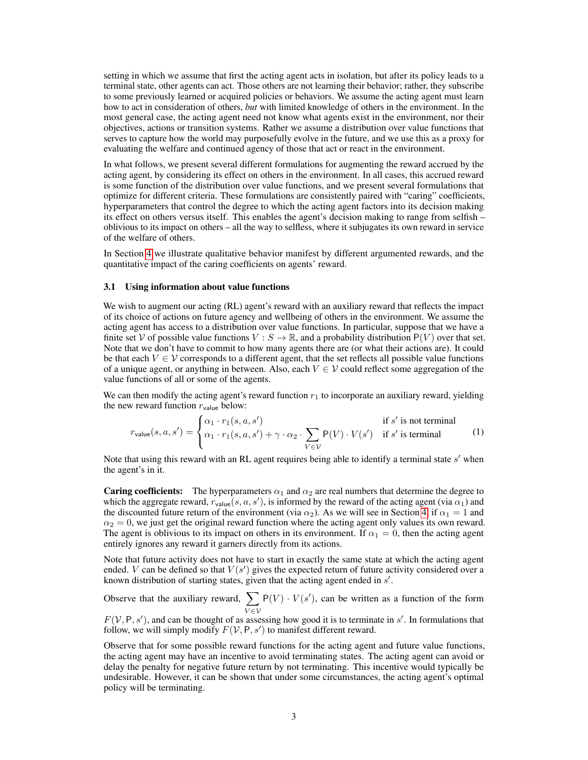setting in which we assume that first the acting agent acts in isolation, but after its policy leads to a terminal state, other agents can act. Those others are not learning their behavior; rather, they subscribe to some previously learned or acquired policies or behaviors. We assume the acting agent must learn how to act in consideration of others, *but* with limited knowledge of others in the environment. In the most general case, the acting agent need not know what agents exist in the environment, nor their objectives, actions or transition systems. Rather we assume a distribution over value functions that serves to capture how the world may purposefully evolve in the future, and we use this as a proxy for evaluating the welfare and continued agency of those that act or react in the environment.

In what follows, we present several different formulations for augmenting the reward accrued by the acting agent, by considering its effect on others in the environment. In all cases, this accrued reward is some function of the distribution over value functions, and we present several formulations that optimize for different criteria. These formulations are consistently paired with "caring" coefficients, hyperparameters that control the degree to which the acting agent factors into its decision making its effect on others versus itself. This enables the agent's decision making to range from selfish – oblivious to its impact on others – all the way to selfless, where it subjugates its own reward in service of the welfare of others.

In Section [4](#page-5-0) we illustrate qualitative behavior manifest by different argumented rewards, and the quantitative impact of the caring coefficients on agents' reward.

### 3.1 Using information about value functions

We wish to augment our acting (RL) agent's reward with an auxiliary reward that reflects the impact of its choice of actions on future agency and wellbeing of others in the environment. We assume the acting agent has access to a distribution over value functions. In particular, suppose that we have a finite set V of possible value functions  $V : S \to \mathbb{R}$ , and a probability distribution  $P(V)$  over that set. Note that we don't have to commit to how many agents there are (or what their actions are). It could be that each  $V \in V$  corresponds to a different agent, that the set reflects all possible value functions of a unique agent, or anything in between. Also, each  $V \in V$  could reflect some aggregation of the value functions of all or some of the agents.

We can then modify the acting agent's reward function  $r_1$  to incorporate an auxiliary reward, yielding the new reward function  $r_{value}$  below:

<span id="page-2-0"></span>
$$
r_{\text{value}}(s, a, s') = \begin{cases} \alpha_1 \cdot r_1(s, a, s') & \text{if } s' \text{ is not terminal} \\ \alpha_1 \cdot r_1(s, a, s') + \gamma \cdot \alpha_2 \cdot \sum_{V \in \mathcal{V}} \mathsf{P}(V) \cdot V(s') & \text{if } s' \text{ is terminal} \end{cases} \tag{1}
$$

Note that using this reward with an RL agent requires being able to identify a terminal state  $s'$  when the agent's in it.

**Caring coefficients:** The hyperparameters  $\alpha_1$  and  $\alpha_2$  are real numbers that determine the degree to which the aggregate reward,  $r_{\text{value}}(s, a, s')$ , is informed by the reward of the acting agent (via  $\alpha_1$ ) and the discounted future return of the environment (via  $\alpha_2$ ). As we will see in Section [4,](#page-5-0) if  $\alpha_1 = 1$  and  $\alpha_2 = 0$ , we just get the original reward function where the acting agent only values its own reward. The agent is oblivious to its impact on others in its environment. If  $\alpha_1 = 0$ , then the acting agent entirely ignores any reward it garners directly from its actions.

Note that future activity does not have to start in exactly the same state at which the acting agent ended. V can be defined so that  $V(s')$  gives the expected return of future activity considered over a known distribution of starting states, given that the acting agent ended in  $s'$ .

Observe that the auxiliary reward,  $\sum$  $V\!\in\!\mathcal{V}$  $P(V) \cdot V(s')$ , can be written as a function of the form

 $F(V, P, s')$ , and can be thought of as assessing how good it is to terminate in s'. In formulations that follow, we will simply modify  $F(V, P, s')$  to manifest different reward.

Observe that for some possible reward functions for the acting agent and future value functions, the acting agent may have an incentive to avoid terminating states. The acting agent can avoid or delay the penalty for negative future return by not terminating. This incentive would typically be undesirable. However, it can be shown that under some circumstances, the acting agent's optimal policy will be terminating.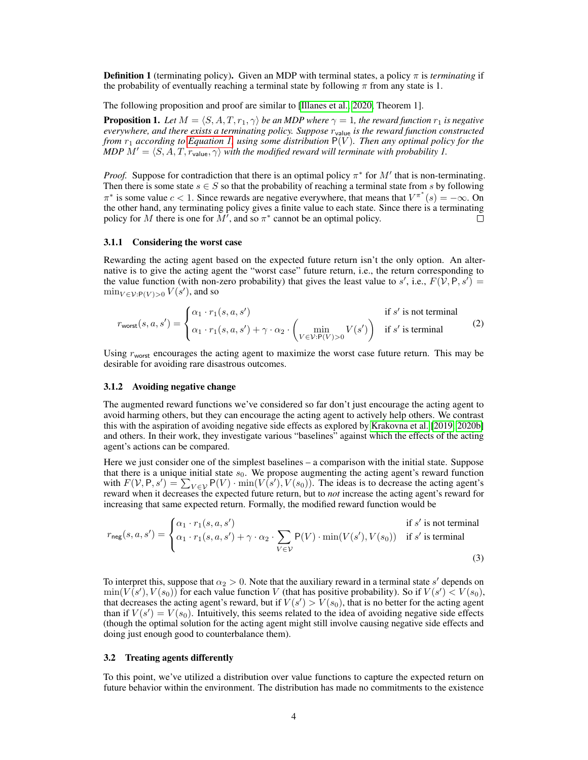**Definition 1** (terminating policy). Given an MDP with terminal states, a policy  $\pi$  is *terminating* if the probability of eventually reaching a terminal state by following  $\pi$  from any state is 1.

The following proposition and proof are similar to [\[Illanes et al., 2020,](#page-10-4) Theorem 1].

**Proposition 1.** Let  $M = \langle S, A, T, r_1, \gamma \rangle$  be an MDP where  $\gamma = 1$ , the reward function  $r_1$  is negative *everywhere, and there exists a terminating policy. Suppose* rvalue *is the reward function constructed from*  $r_1$  *according to [Equation 1,](#page-2-0) using some distribution*  $P(V)$ *. Then any optimal policy for the MDP*  $M' = \langle S, A, T, r_{value}, \gamma \rangle$  *with the modified reward will terminate with probability 1.* 

*Proof.* Suppose for contradiction that there is an optimal policy  $\pi^*$  for  $M'$  that is non-terminating. Then there is some state  $s \in S$  so that the probability of reaching a terminal state from s by following  $\pi^*$  is some value  $c < 1$ . Since rewards are negative everywhere, that means that  $V^{\pi^*}(s) = -\infty$ . On the other hand, any terminating policy gives a finite value to each state. Since there is a terminating policy for M there is one for  $\overline{M}$ , and so  $\pi^*$  cannot be an optimal policy.  $\Box$ 

### 3.1.1 Considering the worst case

Rewarding the acting agent based on the expected future return isn't the only option. An alternative is to give the acting agent the "worst case" future return, i.e., the return corresponding to the value function (with non-zero probability) that gives the least value to s', i.e.,  $F(\hat{V}, P, s') =$  $\min_{V \in \mathcal{V}: \mathsf{P}(V) > 0} V(s')$ , and so

<span id="page-3-0"></span>
$$
r_{\text{worst}}(s, a, s') = \begin{cases} \alpha_1 \cdot r_1(s, a, s') & \text{if } s' \text{ is not terminal} \\ \alpha_1 \cdot r_1(s, a, s') + \gamma \cdot \alpha_2 \cdot \begin{pmatrix} \min \\ V \in V : P(V) > 0 \end{pmatrix} & \text{if } s' \text{ is terminal} \end{cases}
$$
(2)

Using  $r_{\text{worst}}$  encourages the acting agent to maximize the worst case future return. This may be desirable for avoiding rare disastrous outcomes.

### 3.1.2 Avoiding negative change

The augmented reward functions we've considered so far don't just encourage the acting agent to avoid harming others, but they can encourage the acting agent to actively help others. We contrast this with the aspiration of avoiding negative side effects as explored by [Krakovna et al.](#page-10-3) [\[2019,](#page-10-3) [2020b\]](#page-10-2) and others. In their work, they investigate various "baselines" against which the effects of the acting agent's actions can be compared.

Here we just consider one of the simplest baselines – a comparison with the initial state. Suppose that there is a unique initial state  $s_0$ . We propose augmenting the acting agent's reward function with  $F(V, P, s') = \sum_{V \in V} P(V) \cdot \min(V(s'), V(s_0))$ . The ideas is to decrease the acting agent's reward when it decreases the expected future return, but to *not* increase the acting agent's reward for increasing that same expected return. Formally, the modified reward function would be

<span id="page-3-1"></span>
$$
r_{\text{neg}}(s, a, s') = \begin{cases} \alpha_1 \cdot r_1(s, a, s') & \text{if } s' \text{ is not terminal} \\ \alpha_1 \cdot r_1(s, a, s') + \gamma \cdot \alpha_2 \cdot \sum_{V \in \mathcal{V}} \mathsf{P}(V) \cdot \min(V(s'), V(s_0)) & \text{if } s' \text{ is terminal} \end{cases}
$$
(3)

To interpret this, suppose that  $\alpha_2 > 0$ . Note that the auxiliary reward in a terminal state s' depends on  $\min(V(s'), V(s_0))$  for each value function V (that has positive probability). So if  $V(s') < V(s_0)$ , that decreases the acting agent's reward, but if  $V(s') > V(s_0)$ , that is no better for the acting agent than if  $V(s') = V(s_0)$ . Intuitively, this seems related to the idea of avoiding negative side effects (though the optimal solution for the acting agent might still involve causing negative side effects and doing just enough good to counterbalance them).

### 3.2 Treating agents differently

To this point, we've utilized a distribution over value functions to capture the expected return on future behavior within the environment. The distribution has made no commitments to the existence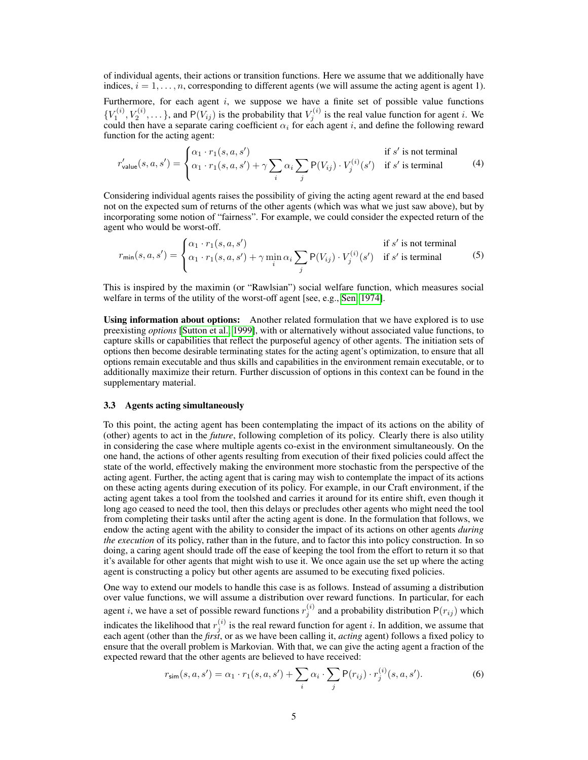of individual agents, their actions or transition functions. Here we assume that we additionally have indices,  $i = 1, \ldots, n$ , corresponding to different agents (we will assume the acting agent is agent 1).

Furthermore, for each agent  $i$ , we suppose we have a finite set of possible value functions  ${V_1^{(i)}, V_2^{(i)}, \ldots}$ , and P $(V_{ij})$  is the probability that  $V_j^{(i)}$  is the real value function for agent *i*. We could then have a separate caring coefficient  $\alpha_i$  for each agent i, and define the following reward function for the acting agent:

<span id="page-4-1"></span>
$$
r'_{\text{value}}(s, a, s') = \begin{cases} \alpha_1 \cdot r_1(s, a, s') & \text{if } s' \text{ is not terminal} \\ \alpha_1 \cdot r_1(s, a, s') + \gamma \sum_i \alpha_i \sum_j P(V_{ij}) \cdot V_j^{(i)}(s') & \text{if } s' \text{ is terminal} \end{cases} \tag{4}
$$

Considering individual agents raises the possibility of giving the acting agent reward at the end based not on the expected sum of returns of the other agents (which was what we just saw above), but by incorporating some notion of "fairness". For example, we could consider the expected return of the agent who would be worst-off.

$$
r_{\min}(s, a, s') = \begin{cases} \alpha_1 \cdot r_1(s, a, s') & \text{if } s' \text{ is not terminal} \\ \alpha_1 \cdot r_1(s, a, s') + \gamma \min_i \alpha_i \sum_j P(V_{ij}) \cdot V_j^{(i)}(s') & \text{if } s' \text{ is terminal} \end{cases}
$$
(5)

This is inspired by the maximin (or "Rawlsian") social welfare function, which measures social welfare in terms of the utility of the worst-off agent [see, e.g., [Sen, 1974\]](#page-11-5).

Using information about options: Another related formulation that we have explored is to use preexisting *options* [\[Sutton et al., 1999\]](#page-11-6), with or alternatively without associated value functions, to capture skills or capabilities that reflect the purposeful agency of other agents. The initiation sets of options then become desirable terminating states for the acting agent's optimization, to ensure that all options remain executable and thus skills and capabilities in the environment remain executable, or to additionally maximize their return. Further discussion of options in this context can be found in the supplementary material.

## <span id="page-4-0"></span>3.3 Agents acting simultaneously

To this point, the acting agent has been contemplating the impact of its actions on the ability of (other) agents to act in the *future*, following completion of its policy. Clearly there is also utility in considering the case where multiple agents co-exist in the environment simultaneously. On the one hand, the actions of other agents resulting from execution of their fixed policies could affect the state of the world, effectively making the environment more stochastic from the perspective of the acting agent. Further, the acting agent that is caring may wish to contemplate the impact of its actions on these acting agents during execution of its policy. For example, in our Craft environment, if the acting agent takes a tool from the toolshed and carries it around for its entire shift, even though it long ago ceased to need the tool, then this delays or precludes other agents who might need the tool from completing their tasks until after the acting agent is done. In the formulation that follows, we endow the acting agent with the ability to consider the impact of its actions on other agents *during the execution* of its policy, rather than in the future, and to factor this into policy construction. In so doing, a caring agent should trade off the ease of keeping the tool from the effort to return it so that it's available for other agents that might wish to use it. We once again use the set up where the acting agent is constructing a policy but other agents are assumed to be executing fixed policies.

One way to extend our models to handle this case is as follows. Instead of assuming a distribution over value functions, we will assume a distribution over reward functions. In particular, for each agent *i*, we have a set of possible reward functions  $r_j^{(i)}$  and a probability distribution  $P(r_{ij})$  which indicates the likelihood that  $r_j^{(i)}$  is the real reward function for agent *i*. In addition, we assume that each agent (other than the *first*, or as we have been calling it, *acting* agent) follows a fixed policy to ensure that the overall problem is Markovian. With that, we can give the acting agent a fraction of the expected reward that the other agents are believed to have received:

$$
r_{\text{sim}}(s, a, s') = \alpha_1 \cdot r_1(s, a, s') + \sum_i \alpha_i \cdot \sum_j P(r_{ij}) \cdot r_j^{(i)}(s, a, s'). \tag{6}
$$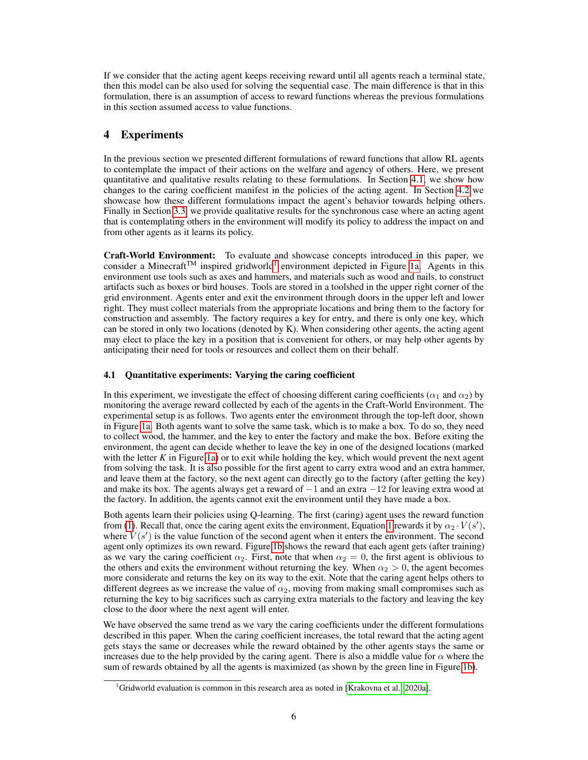If we consider that the acting agent keeps receiving reward until all agents reach a terminal state, then this model can be also used for solving the sequential case. The main difference is that in this formulation, there is an assumption of access to reward functions whereas the previous formulations in this section assumed access to value functions.

# <span id="page-5-0"></span>4 Experiments

In the previous section we presented different formulations of reward functions that allow RL agents to contemplate the impact of their actions on the welfare and agency of others. Here, we present quantitative and qualitative results relating to these formulations. In Section [4.1,](#page-5-1) we show how changes to the caring coefficient manifest in the policies of the acting agent. In Section [4.2](#page-6-0) we showcase how these different formulations impact the agent's behavior towards helping others. Finally in Section [3.3,](#page-4-0) we provide qualitative results for the synchronous case where an acting agent that is contemplating others in the environment will modify its policy to address the impact on and from other agents as it learns its policy.

Craft-World Environment: To evaluate and showcase concepts introduced in this paper, we consider a Minecraft<sup>TM</sup> inspired gridworld<sup>[1](#page-5-2)</sup> environment depicted in Figure [1a.](#page-6-1) Agents in this environment use tools such as axes and hammers, and materials such as wood and nails, to construct artifacts such as boxes or bird houses. Tools are stored in a toolshed in the upper right corner of the grid environment. Agents enter and exit the environment through doors in the upper left and lower right. They must collect materials from the appropriate locations and bring them to the factory for construction and assembly. The factory requires a key for entry, and there is only one key, which can be stored in only two locations (denoted by K). When considering other agents, the acting agent may elect to place the key in a position that is convenient for others, or may help other agents by anticipating their need for tools or resources and collect them on their behalf.

# <span id="page-5-1"></span>4.1 Quantitative experiments: Varying the caring coefficient

In this experiment, we investigate the effect of choosing different caring coefficients ( $\alpha_1$  and  $\alpha_2$ ) by monitoring the average reward collected by each of the agents in the Craft-World Environment. The experimental setup is as follows. Two agents enter the environment through the top-left door, shown in Figure [1a.](#page-6-1) Both agents want to solve the same task, which is to make a box. To do so, they need to collect wood, the hammer, and the key to enter the factory and make the box. Before exiting the environment, the agent can decide whether to leave the key in one of the designed locations (marked with the letter  $K$  in Figure [1a\)](#page-6-1) or to exit while holding the key, which would prevent the next agent from solving the task. It is also possible for the first agent to carry extra wood and an extra hammer, and leave them at the factory, so the next agent can directly go to the factory (after getting the key) and make its box. The agents always get a reward of  $-1$  and an extra  $-12$  for leaving extra wood at the factory. In addition, the agents cannot exit the environment until they have made a box.

Both agents learn their policies using Q-learning. The first (caring) agent uses the reward function from [\(1\)](#page-2-0). Recall that, once the caring agent exits the environment, Equation [1](#page-2-0) rewards it by  $\alpha_2 \cdot V(s')$ , where  $V(s')$  is the value function of the second agent when it enters the environment. The second agent only optimizes its own reward. Figure [1b](#page-6-1) shows the reward that each agent gets (after training) as we vary the caring coefficient  $\alpha_2$ . First, note that when  $\alpha_2 = 0$ , the first agent is oblivious to the others and exits the environment without returning the key. When  $\alpha_2 > 0$ , the agent becomes more considerate and returns the key on its way to the exit. Note that the caring agent helps others to different degrees as we increase the value of  $\alpha_2$ , moving from making small compromises such as returning the key to big sacrifices such as carrying extra materials to the factory and leaving the key close to the door where the next agent will enter.

We have observed the same trend as we vary the caring coefficients under the different formulations described in this paper. When the caring coefficient increases, the total reward that the acting agent gets stays the same or decreases while the reward obtained by the other agents stays the same or increases due to the help provided by the caring agent. There is also a middle value for  $\alpha$  where the sum of rewards obtained by all the agents is maximized (as shown by the green line in Figure [1b\)](#page-6-1).

<span id="page-5-2"></span><sup>&</sup>lt;sup>1</sup>Gridworld evaluation is common in this research area as noted in [\[Krakovna et al., 2020a\]](#page-10-5).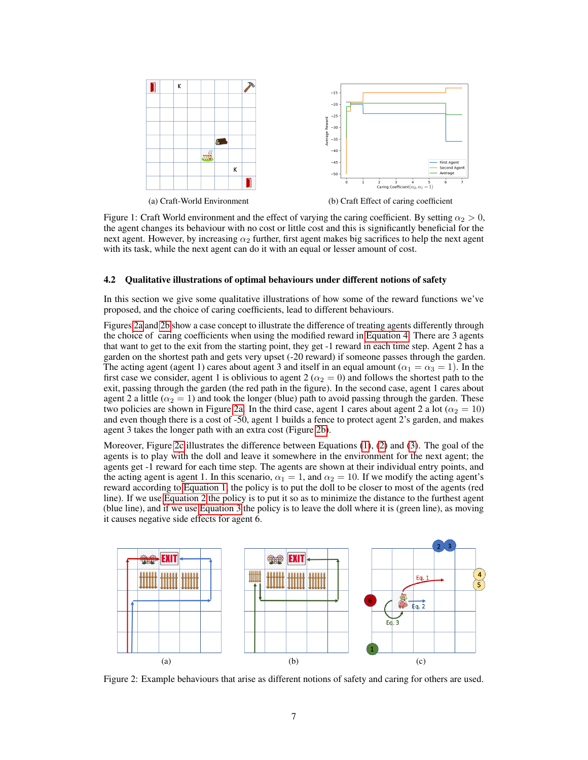<span id="page-6-1"></span>

Figure 1: Craft World environment and the effect of varying the caring coefficient. By setting  $\alpha_2 > 0$ , the agent changes its behaviour with no cost or little cost and this is significantly beneficial for the next agent. However, by increasing  $\alpha_2$  further, first agent makes big sacrifices to help the next agent with its task, while the next agent can do it with an equal or lesser amount of cost.

### <span id="page-6-0"></span>4.2 Qualitative illustrations of optimal behaviours under different notions of safety

In this section we give some qualitative illustrations of how some of the reward functions we've proposed, and the choice of caring coefficients, lead to different behaviours.

Figures [2a](#page-6-2) and [2b](#page-6-2) show a case concept to illustrate the difference of treating agents differently through the choice of caring coefficients when using the modified reward in [Equation 4.](#page-4-1) There are 3 agents that want to get to the exit from the starting point, they get -1 reward in each time step. Agent 2 has a garden on the shortest path and gets very upset (-20 reward) if someone passes through the garden. The acting agent (agent 1) cares about agent 3 and itself in an equal amount ( $\alpha_1 = \alpha_3 = 1$ ). In the first case we consider, agent 1 is oblivious to agent 2 ( $\alpha_2 = 0$ ) and follows the shortest path to the exit, passing through the garden (the red path in the figure). In the second case, agent 1 cares about agent 2 a little ( $\alpha_2 = 1$ ) and took the longer (blue) path to avoid passing through the garden. These two policies are shown in Figure [2a.](#page-6-2) In the third case, agent 1 cares about agent 2 a lot ( $\alpha_2 = 10$ ) and even though there is a cost of -50, agent 1 builds a fence to protect agent 2's garden, and makes agent 3 takes the longer path with an extra cost (Figure [2b\)](#page-6-2).

Moreover, Figure [2c](#page-6-2) illustrates the difference between Equations [\(1\)](#page-2-0), [\(2\)](#page-3-0) and [\(3\)](#page-3-1). The goal of the agents is to play with the doll and leave it somewhere in the environment for the next agent; the agents get -1 reward for each time step. The agents are shown at their individual entry points, and the acting agent is agent 1. In this scenario,  $\alpha_1 = 1$ , and  $\alpha_2 = 10$ . If we modify the acting agent's reward according to [Equation 1,](#page-2-0) the policy is to put the doll to be closer to most of the agents (red line). If we use [Equation 2](#page-3-0) the policy is to put it so as to minimize the distance to the furthest agent (blue line), and if we use [Equation 3](#page-3-1) the policy is to leave the doll where it is (green line), as moving it causes negative side effects for agent 6.

<span id="page-6-2"></span>

Figure 2: Example behaviours that arise as different notions of safety and caring for others are used.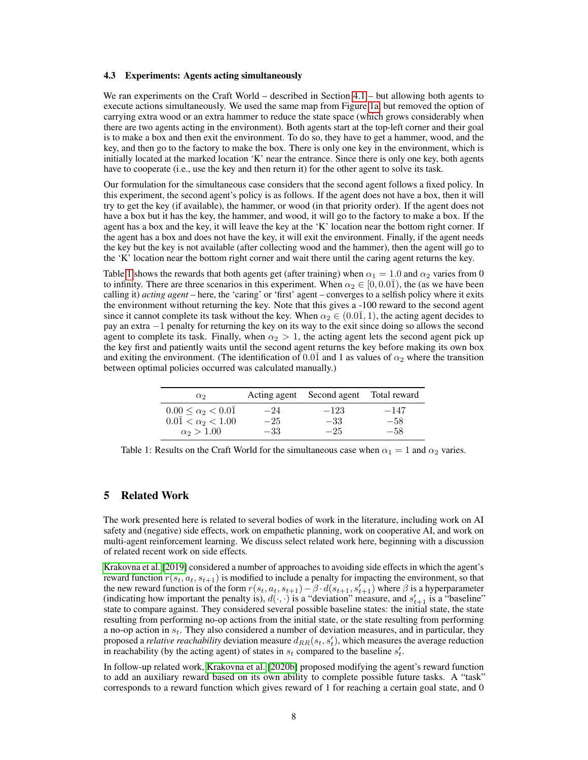#### <span id="page-7-1"></span>4.3 Experiments: Agents acting simultaneously

We ran experiments on the Craft World – described in Section [4.1](#page-5-1) – but allowing both agents to execute actions simultaneously. We used the same map from Figure [1a,](#page-6-1) but removed the option of carrying extra wood or an extra hammer to reduce the state space (which grows considerably when there are two agents acting in the environment). Both agents start at the top-left corner and their goal is to make a box and then exit the environment. To do so, they have to get a hammer, wood, and the key, and then go to the factory to make the box. There is only one key in the environment, which is initially located at the marked location 'K' near the entrance. Since there is only one key, both agents have to cooperate (i.e., use the key and then return it) for the other agent to solve its task.

Our formulation for the simultaneous case considers that the second agent follows a fixed policy. In this experiment, the second agent's policy is as follows. If the agent does not have a box, then it will try to get the key (if available), the hammer, or wood (in that priority order). If the agent does not have a box but it has the key, the hammer, and wood, it will go to the factory to make a box. If the agent has a box and the key, it will leave the key at the 'K' location near the bottom right corner. If the agent has a box and does not have the key, it will exit the environment. Finally, if the agent needs the key but the key is not available (after collecting wood and the hammer), then the agent will go to the 'K' location near the bottom right corner and wait there until the caring agent returns the key.

Table [1](#page-7-0) shows the rewards that both agents get (after training) when  $\alpha_1 = 1.0$  and  $\alpha_2$  varies from 0 to infinity. There are three scenarios in this experiment. When  $\alpha_2 \in [0, 0.0\bar{1})$ , the (as we have been calling it) *acting agent* – here, the 'caring' or 'first' agent – converges to a selfish policy where it exits the environment without returning the key. Note that this gives a -100 reward to the second agent since it cannot complete its task without the key. When  $\alpha_2 \in (0.01, 1)$ , the acting agent decides to pay an extra −1 penalty for returning the key on its way to the exit since doing so allows the second agent to complete its task. Finally, when  $\alpha_2 > 1$ , the acting agent lets the second agent pick up the key first and patiently waits until the second agent returns the key before making its own box and exiting the environment. (The identification of 0.0 $\bar{1}$  and 1 as values of  $\alpha_2$  where the transition between optimal policies occurred was calculated manually.)

<span id="page-7-0"></span>

| $\alpha_2$                                                         |                | Acting agent Second agent Total reward |                 |
|--------------------------------------------------------------------|----------------|----------------------------------------|-----------------|
| $0.00 \leq \alpha_2 < 0.01$<br>$0.0\overline{1} < \alpha_2 < 1.00$ | $-24$<br>$-25$ | $-123$<br>$-33$                        | $-147$<br>$-58$ |
| $\alpha_2 > 1.00$                                                  | $-33$          | $-25$                                  | $-58$           |

Table 1: Results on the Craft World for the simultaneous case when  $\alpha_1 = 1$  and  $\alpha_2$  varies.

### 5 Related Work

The work presented here is related to several bodies of work in the literature, including work on AI safety and (negative) side effects, work on empathetic planning, work on cooperative AI, and work on multi-agent reinforcement learning. We discuss select related work here, beginning with a discussion of related recent work on side effects.

[Krakovna et al.](#page-10-3) [\[2019\]](#page-10-3) considered a number of approaches to avoiding side effects in which the agent's reward function  $r(s_t, a_t, s_{t+1})$  is modified to include a penalty for impacting the environment, so that the new reward function is of the form  $r(s_t, a_t, s_{t+1}) - \beta \cdot d(s_{t+1}, s_{t+1}')$  where  $\beta$  is a hyperparameter (indicating how important the penalty is),  $d(·, ·)$  is a "deviation" measure, and  $s'_{t+1}$  is a "baseline" state to compare against. They considered several possible baseline states: the initial state, the state resulting from performing no-op actions from the initial state, or the state resulting from performing a no-op action in  $s_t$ . They also considered a number of deviation measures, and in particular, they proposed a *relative reachability* deviation measure  $d_{RR}(s_t, s'_t)$ , which measures the average reduction in reachability (by the acting agent) of states in  $s_t$  compared to the baseline  $s'_t$ .

In follow-up related work, [Krakovna et al.](#page-10-2) [\[2020b\]](#page-10-2) proposed modifying the agent's reward function to add an auxiliary reward based on its own ability to complete possible future tasks. A "task" corresponds to a reward function which gives reward of 1 for reaching a certain goal state, and 0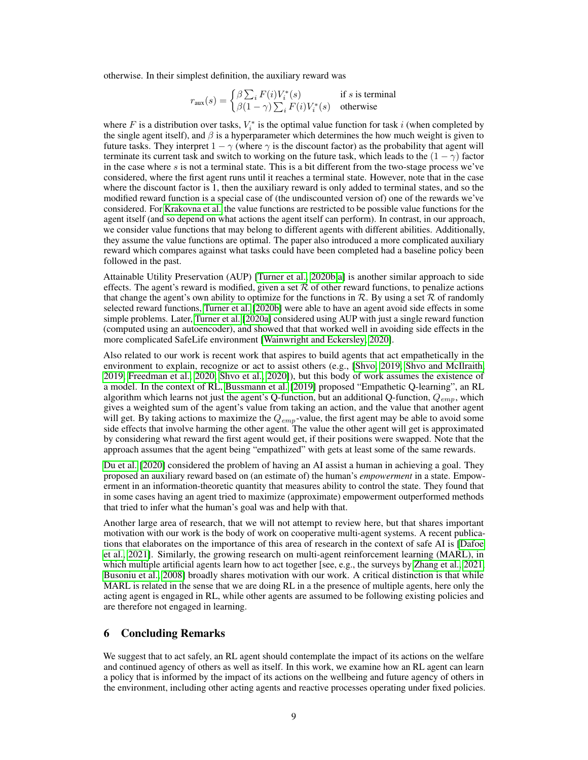otherwise. In their simplest definition, the auxiliary reward was

$$
r_{\text{aux}}(s) = \begin{cases} \beta \sum_i F(i) V_i^*(s) & \text{if } s \text{ is terminal} \\ \beta(1-\gamma) \sum_i F(i) V_i^*(s) & \text{otherwise} \end{cases}
$$

where F is a distribution over tasks,  $V_i^*$  is the optimal value function for task i (when completed by the single agent itself), and  $\beta$  is a hyperparameter which determines the how much weight is given to future tasks. They interpret  $1 - \gamma$  (where  $\gamma$  is the discount factor) as the probability that agent will terminate its current task and switch to working on the future task, which leads to the  $(1 - \gamma)$  factor in the case where s is not a terminal state. This is a bit different from the two-stage process we've considered, where the first agent runs until it reaches a terminal state. However, note that in the case where the discount factor is 1, then the auxiliary reward is only added to terminal states, and so the modified reward function is a special case of (the undiscounted version of) one of the rewards we've considered. For [Krakovna et al.](#page-10-2) the value functions are restricted to be possible value functions for the agent itself (and so depend on what actions the agent itself can perform). In contrast, in our approach, we consider value functions that may belong to different agents with different abilities. Additionally, they assume the value functions are optimal. The paper also introduced a more complicated auxiliary reward which compares against what tasks could have been completed had a baseline policy been followed in the past.

Attainable Utility Preservation (AUP) [\[Turner et al., 2020b](#page-11-1)[,a\]](#page-11-7) is another similar approach to side effects. The agent's reward is modified, given a set  $R$  of other reward functions, to penalize actions that change the agent's own ability to optimize for the functions in  $\mathcal{R}$ . By using a set  $\mathcal R$  of randomly selected reward functions, [Turner et al.](#page-11-1) [\[2020b\]](#page-11-1) were able to have an agent avoid side effects in some simple problems. Later, [Turner et al.](#page-11-7) [\[2020a\]](#page-11-7) considered using AUP with just a single reward function (computed using an autoencoder), and showed that that worked well in avoiding side effects in the more complicated SafeLife environment [\[Wainwright and Eckersley, 2020\]](#page-11-8).

Also related to our work is recent work that aspires to build agents that act empathetically in the environment to explain, recognize or act to assist others (e.g., [\[Shvo, 2019,](#page-11-9) [Shvo and McIlraith,](#page-11-10) [2019,](#page-11-10) [Freedman et al., 2020,](#page-10-6) [Shvo et al., 2020\]](#page-11-11)), but this body of work assumes the existence of a model. In the context of RL, [Bussmann et al.](#page-10-7) [\[2019\]](#page-10-7) proposed "Empathetic Q-learning", an RL algorithm which learns not just the agent's Q-function, but an additional Q-function,  $Q_{emp}$ , which gives a weighted sum of the agent's value from taking an action, and the value that another agent will get. By taking actions to maximize the  $Q_{emp}$ -value, the first agent may be able to avoid some side effects that involve harming the other agent. The value the other agent will get is approximated by considering what reward the first agent would get, if their positions were swapped. Note that the approach assumes that the agent being "empathized" with gets at least some of the same rewards.

[Du et al.](#page-10-8) [\[2020\]](#page-10-8) considered the problem of having an AI assist a human in achieving a goal. They proposed an auxiliary reward based on (an estimate of) the human's *empowerment* in a state. Empowerment in an information-theoretic quantity that measures ability to control the state. They found that in some cases having an agent tried to maximize (approximate) empowerment outperformed methods that tried to infer what the human's goal was and help with that.

Another large area of research, that we will not attempt to review here, but that shares important motivation with our work is the body of work on cooperative multi-agent systems. A recent publications that elaborates on the importance of this area of research in the context of safe AI is [\[Dafoe](#page-10-9) [et al., 2021\]](#page-10-9). Similarly, the growing research on multi-agent reinforcement learning (MARL), in which multiple artificial agents learn how to act together [see, e.g., the surveys by [Zhang et al., 2021,](#page-11-12) [Busoniu et al., 2008\]](#page-10-10) broadly shares motivation with our work. A critical distinction is that while MARL is related in the sense that we are doing RL in a the presence of multiple agents, here only the acting agent is engaged in RL, while other agents are assumed to be following existing policies and are therefore not engaged in learning.

# 6 Concluding Remarks

We suggest that to act safely, an RL agent should contemplate the impact of its actions on the welfare and continued agency of others as well as itself. In this work, we examine how an RL agent can learn a policy that is informed by the impact of its actions on the wellbeing and future agency of others in the environment, including other acting agents and reactive processes operating under fixed policies.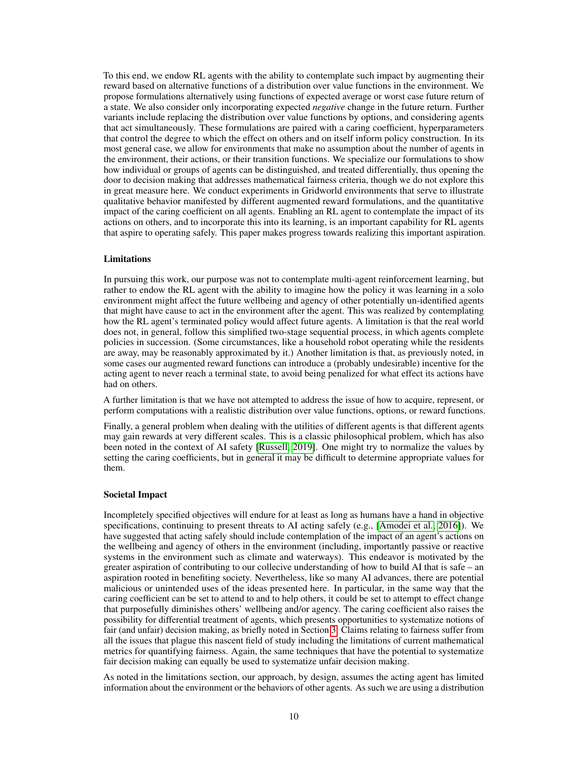To this end, we endow RL agents with the ability to contemplate such impact by augmenting their reward based on alternative functions of a distribution over value functions in the environment. We propose formulations alternatively using functions of expected average or worst case future return of a state. We also consider only incorporating expected *negative* change in the future return. Further variants include replacing the distribution over value functions by options, and considering agents that act simultaneously. These formulations are paired with a caring coefficient, hyperparameters that control the degree to which the effect on others and on itself inform policy construction. In its most general case, we allow for environments that make no assumption about the number of agents in the environment, their actions, or their transition functions. We specialize our formulations to show how individual or groups of agents can be distinguished, and treated differentially, thus opening the door to decision making that addresses mathematical fairness criteria, though we do not explore this in great measure here. We conduct experiments in Gridworld environments that serve to illustrate qualitative behavior manifested by different augmented reward formulations, and the quantitative impact of the caring coefficient on all agents. Enabling an RL agent to contemplate the impact of its actions on others, and to incorporate this into its learning, is an important capability for RL agents that aspire to operating safely. This paper makes progress towards realizing this important aspiration.

### **Limitations**

In pursuing this work, our purpose was not to contemplate multi-agent reinforcement learning, but rather to endow the RL agent with the ability to imagine how the policy it was learning in a solo environment might affect the future wellbeing and agency of other potentially un-identified agents that might have cause to act in the environment after the agent. This was realized by contemplating how the RL agent's terminated policy would affect future agents. A limitation is that the real world does not, in general, follow this simplified two-stage sequential process, in which agents complete policies in succession. (Some circumstances, like a household robot operating while the residents are away, may be reasonably approximated by it.) Another limitation is that, as previously noted, in some cases our augmented reward functions can introduce a (probably undesirable) incentive for the acting agent to never reach a terminal state, to avoid being penalized for what effect its actions have had on others.

A further limitation is that we have not attempted to address the issue of how to acquire, represent, or perform computations with a realistic distribution over value functions, options, or reward functions.

Finally, a general problem when dealing with the utilities of different agents is that different agents may gain rewards at very different scales. This is a classic philosophical problem, which has also been noted in the context of AI safety [\[Russell, 2019\]](#page-10-1). One might try to normalize the values by setting the caring coefficients, but in general it may be difficult to determine appropriate values for them.

### Societal Impact

Incompletely specified objectives will endure for at least as long as humans have a hand in objective specifications, continuing to present threats to AI acting safely (e.g., [\[Amodei et al., 2016\]](#page-10-0)). We have suggested that acting safely should include contemplation of the impact of an agent's actions on the wellbeing and agency of others in the environment (including, importantly passive or reactive systems in the environment such as climate and waterways). This endeavor is motivated by the greater aspiration of contributing to our collecive understanding of how to build AI that is safe – an aspiration rooted in benefiting society. Nevertheless, like so many AI advances, there are potential malicious or unintended uses of the ideas presented here. In particular, in the same way that the caring coefficient can be set to attend to and to help others, it could be set to attempt to effect change that purposefully diminishes others' wellbeing and/or agency. The caring coefficient also raises the possibility for differential treatment of agents, which presents opportunities to systematize notions of fair (and unfair) decision making, as briefly noted in Section [3.](#page-1-0) Claims relating to fairness suffer from all the issues that plague this nascent field of study including the limitations of current mathematical metrics for quantifying fairness. Again, the same techniques that have the potential to systematize fair decision making can equally be used to systematize unfair decision making.

As noted in the limitations section, our approach, by design, assumes the acting agent has limited information about the environment or the behaviors of other agents. As such we are using a distribution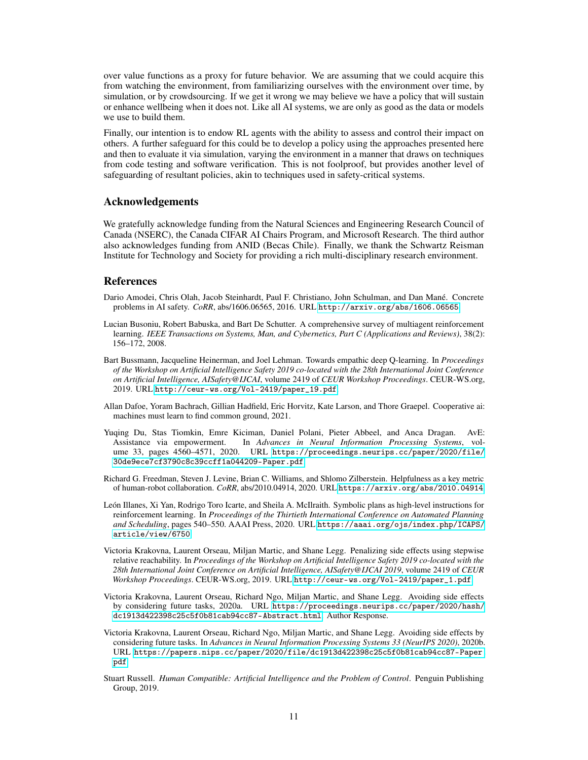over value functions as a proxy for future behavior. We are assuming that we could acquire this from watching the environment, from familiarizing ourselves with the environment over time, by simulation, or by crowdsourcing. If we get it wrong we may believe we have a policy that will sustain or enhance wellbeing when it does not. Like all AI systems, we are only as good as the data or models we use to build them.

Finally, our intention is to endow RL agents with the ability to assess and control their impact on others. A further safeguard for this could be to develop a policy using the approaches presented here and then to evaluate it via simulation, varying the environment in a manner that draws on techniques from code testing and software verification. This is not foolproof, but provides another level of safeguarding of resultant policies, akin to techniques used in safety-critical systems.

### Acknowledgements

We gratefully acknowledge funding from the Natural Sciences and Engineering Research Council of Canada (NSERC), the Canada CIFAR AI Chairs Program, and Microsoft Research. The third author also acknowledges funding from ANID (Becas Chile). Finally, we thank the Schwartz Reisman Institute for Technology and Society for providing a rich multi-disciplinary research environment.

### References

- <span id="page-10-0"></span>Dario Amodei, Chris Olah, Jacob Steinhardt, Paul F. Christiano, John Schulman, and Dan Mané. Concrete problems in AI safety. *CoRR*, abs/1606.06565, 2016. URL <http://arxiv.org/abs/1606.06565>.
- <span id="page-10-10"></span>Lucian Busoniu, Robert Babuska, and Bart De Schutter. A comprehensive survey of multiagent reinforcement learning. *IEEE Transactions on Systems, Man, and Cybernetics, Part C (Applications and Reviews)*, 38(2): 156–172, 2008.
- <span id="page-10-7"></span>Bart Bussmann, Jacqueline Heinerman, and Joel Lehman. Towards empathic deep Q-learning. In *Proceedings of the Workshop on Artificial Intelligence Safety 2019 co-located with the 28th International Joint Conference on Artificial Intelligence, AISafety@IJCAI*, volume 2419 of *CEUR Workshop Proceedings*. CEUR-WS.org, 2019. URL [http://ceur-ws.org/Vol-2419/paper\\_19.pdf](http://ceur-ws.org/Vol-2419/paper_19.pdf).
- <span id="page-10-9"></span>Allan Dafoe, Yoram Bachrach, Gillian Hadfield, Eric Horvitz, Kate Larson, and Thore Graepel. Cooperative ai: machines must learn to find common ground, 2021.
- <span id="page-10-8"></span>Yuqing Du, Stas Tiomkin, Emre Kiciman, Daniel Polani, Pieter Abbeel, and Anca Dragan. AvE: Assistance via empowerment. In *Advances in Neural Information Processing Systems*, volume 33, pages 4560–4571, 2020. URL [https://proceedings.neurips.cc/paper/2020/file/](https://proceedings.neurips.cc/paper/2020/file/30de9ece7cf3790c8c39ccff1a044209-Paper.pdf) [30de9ece7cf3790c8c39ccff1a044209-Paper.pdf](https://proceedings.neurips.cc/paper/2020/file/30de9ece7cf3790c8c39ccff1a044209-Paper.pdf).
- <span id="page-10-6"></span>Richard G. Freedman, Steven J. Levine, Brian C. Williams, and Shlomo Zilberstein. Helpfulness as a key metric of human-robot collaboration. *CoRR*, abs/2010.04914, 2020. URL <https://arxiv.org/abs/2010.04914>.
- <span id="page-10-4"></span>León Illanes, Xi Yan, Rodrigo Toro Icarte, and Sheila A. McIlraith. Symbolic plans as high-level instructions for reinforcement learning. In *Proceedings of the Thirtieth International Conference on Automated Planning and Scheduling*, pages 540–550. AAAI Press, 2020. URL [https://aaai.org/ojs/index.php/ICAPS/](https://aaai.org/ojs/index.php/ICAPS/article/view/6750) [article/view/6750](https://aaai.org/ojs/index.php/ICAPS/article/view/6750).
- <span id="page-10-3"></span>Victoria Krakovna, Laurent Orseau, Miljan Martic, and Shane Legg. Penalizing side effects using stepwise relative reachability. In *Proceedings of the Workshop on Artificial Intelligence Safety 2019 co-located with the 28th International Joint Conference on Artificial Intelligence, AISafety@IJCAI 2019*, volume 2419 of *CEUR Workshop Proceedings*. CEUR-WS.org, 2019. URL [http://ceur-ws.org/Vol-2419/paper\\_1.pdf](http://ceur-ws.org/Vol-2419/paper_1.pdf).
- <span id="page-10-5"></span>Victoria Krakovna, Laurent Orseau, Richard Ngo, Miljan Martic, and Shane Legg. Avoiding side effects by considering future tasks, 2020a. URL [https://proceedings.neurips.cc/paper/2020/hash/](https://proceedings.neurips.cc/paper/2020/hash/dc1913d422398c25c5f0b81cab94cc87-Abstract.html) [dc1913d422398c25c5f0b81cab94cc87-Abstract.html](https://proceedings.neurips.cc/paper/2020/hash/dc1913d422398c25c5f0b81cab94cc87-Abstract.html). Author Response.
- <span id="page-10-2"></span>Victoria Krakovna, Laurent Orseau, Richard Ngo, Miljan Martic, and Shane Legg. Avoiding side effects by considering future tasks. In *Advances in Neural Information Processing Systems 33 (NeurIPS 2020)*, 2020b. URL [https://papers.nips.cc/paper/2020/file/dc1913d422398c25c5f0b81cab94cc87-Paper.](https://papers.nips.cc/paper/2020/file/dc1913d422398c25c5f0b81cab94cc87-Paper.pdf) [pdf](https://papers.nips.cc/paper/2020/file/dc1913d422398c25c5f0b81cab94cc87-Paper.pdf).
- <span id="page-10-1"></span>Stuart Russell. *Human Compatible: Artificial Intelligence and the Problem of Control*. Penguin Publishing Group, 2019.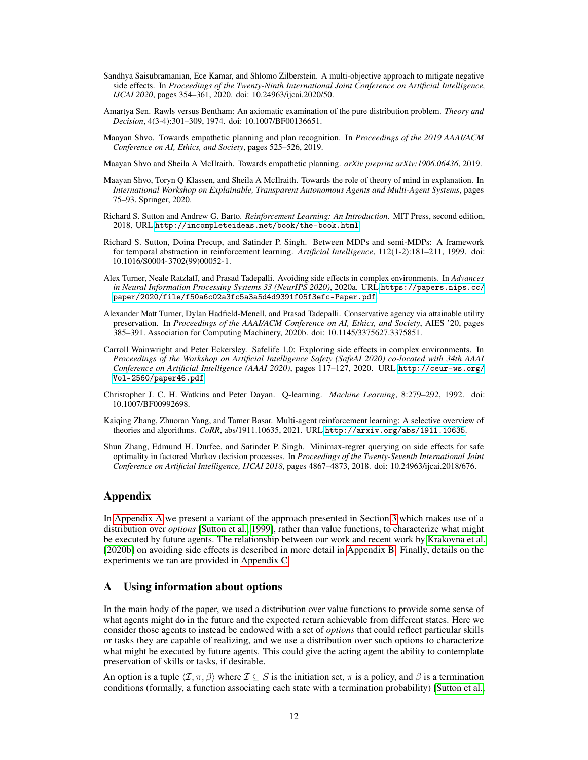- <span id="page-11-2"></span>Sandhya Saisubramanian, Ece Kamar, and Shlomo Zilberstein. A multi-objective approach to mitigate negative side effects. In *Proceedings of the Twenty-Ninth International Joint Conference on Artificial Intelligence, IJCAI 2020*, pages 354–361, 2020. doi: 10.24963/ijcai.2020/50.
- <span id="page-11-5"></span>Amartya Sen. Rawls versus Bentham: An axiomatic examination of the pure distribution problem. *Theory and Decision*, 4(3-4):301–309, 1974. doi: 10.1007/BF00136651.
- <span id="page-11-9"></span>Maayan Shvo. Towards empathetic planning and plan recognition. In *Proceedings of the 2019 AAAI/ACM Conference on AI, Ethics, and Society*, pages 525–526, 2019.

<span id="page-11-10"></span>Maayan Shvo and Sheila A McIlraith. Towards empathetic planning. *arXiv preprint arXiv:1906.06436*, 2019.

- <span id="page-11-11"></span>Maayan Shvo, Toryn Q Klassen, and Sheila A McIlraith. Towards the role of theory of mind in explanation. In *International Workshop on Explainable, Transparent Autonomous Agents and Multi-Agent Systems*, pages 75–93. Springer, 2020.
- <span id="page-11-3"></span>Richard S. Sutton and Andrew G. Barto. *Reinforcement Learning: An Introduction*. MIT Press, second edition, 2018. URL <http://incompleteideas.net/book/the-book.html>.
- <span id="page-11-6"></span>Richard S. Sutton, Doina Precup, and Satinder P. Singh. Between MDPs and semi-MDPs: A framework for temporal abstraction in reinforcement learning. *Artificial Intelligence*, 112(1-2):181–211, 1999. doi: 10.1016/S0004-3702(99)00052-1.
- <span id="page-11-7"></span>Alex Turner, Neale Ratzlaff, and Prasad Tadepalli. Avoiding side effects in complex environments. In *Advances in Neural Information Processing Systems 33 (NeurIPS 2020)*, 2020a. URL [https://papers.nips.cc/](https://papers.nips.cc/paper/2020/file/f50a6c02a3fc5a3a5d4d9391f05f3efc-Paper.pdf) [paper/2020/file/f50a6c02a3fc5a3a5d4d9391f05f3efc-Paper.pdf](https://papers.nips.cc/paper/2020/file/f50a6c02a3fc5a3a5d4d9391f05f3efc-Paper.pdf).
- <span id="page-11-1"></span>Alexander Matt Turner, Dylan Hadfield-Menell, and Prasad Tadepalli. Conservative agency via attainable utility preservation. In *Proceedings of the AAAI/ACM Conference on AI, Ethics, and Society*, AIES '20, pages 385–391. Association for Computing Machinery, 2020b. doi: 10.1145/3375627.3375851.
- <span id="page-11-8"></span>Carroll Wainwright and Peter Eckersley. Safelife 1.0: Exploring side effects in complex environments. In *Proceedings of the Workshop on Artificial Intelligence Safety (SafeAI 2020) co-located with 34th AAAI Conference on Artificial Intelligence (AAAI 2020)*, pages 117–127, 2020. URL [http://ceur-ws.org/](http://ceur-ws.org/Vol-2560/paper46.pdf) [Vol-2560/paper46.pdf](http://ceur-ws.org/Vol-2560/paper46.pdf).
- <span id="page-11-4"></span>Christopher J. C. H. Watkins and Peter Dayan. Q-learning. *Machine Learning*, 8:279–292, 1992. doi: 10.1007/BF00992698.
- <span id="page-11-12"></span>Kaiqing Zhang, Zhuoran Yang, and Tamer Basar. Multi-agent reinforcement learning: A selective overview of theories and algorithms. *CoRR*, abs/1911.10635, 2021. URL <http://arxiv.org/abs/1911.10635>.
- <span id="page-11-0"></span>Shun Zhang, Edmund H. Durfee, and Satinder P. Singh. Minimax-regret querying on side effects for safe optimality in factored Markov decision processes. In *Proceedings of the Twenty-Seventh International Joint Conference on Artificial Intelligence, IJCAI 2018*, pages 4867–4873, 2018. doi: 10.24963/ijcai.2018/676.

### Appendix

In [Appendix A](#page-11-13) we present a variant of the approach presented in Section [3](#page-1-0) which makes use of a distribution over *options* [\[Sutton et al., 1999\]](#page-11-6), rather than value functions, to characterize what might be executed by future agents. The relationship between our work and recent work by [Krakovna et al.](#page-10-2) [\[2020b\]](#page-10-2) on avoiding side effects is described in more detail in [Appendix B.](#page-13-0) Finally, details on the experiments we ran are provided in [Appendix C.](#page-14-0)

## <span id="page-11-13"></span>A Using information about options

In the main body of the paper, we used a distribution over value functions to provide some sense of what agents might do in the future and the expected return achievable from different states. Here we consider those agents to instead be endowed with a set of *options* that could reflect particular skills or tasks they are capable of realizing, and we use a distribution over such options to characterize what might be executed by future agents. This could give the acting agent the ability to contemplate preservation of skills or tasks, if desirable.

An option is a tuple  $\langle \mathcal{I}, \pi, \beta \rangle$  where  $\mathcal{I} \subseteq S$  is the initiation set,  $\pi$  is a policy, and  $\beta$  is a termination conditions (formally, a function associating each state with a termination probability) [\[Sutton et al.,](#page-11-6)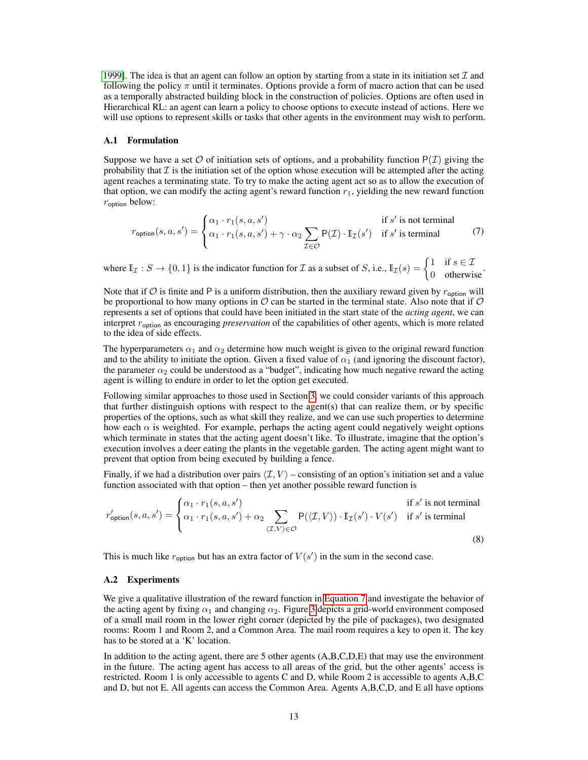[1999\]](#page-11-6). The idea is that an agent can follow an option by starting from a state in its initiation set  $\mathcal I$  and following the policy  $\pi$  until it terminates. Options provide a form of macro action that can be used as a temporally abstracted building block in the construction of policies. Options are often used in Hierarchical RL: an agent can learn a policy to choose options to execute instead of actions. Here we will use options to represent skills or tasks that other agents in the environment may wish to perform.

### A.1 Formulation

Suppose we have a set  $\mathcal O$  of initiation sets of options, and a probability function  $P(\mathcal I)$  giving the probability that  $\mathcal I$  is the initiation set of the option whose execution will be attempted after the acting agent reaches a terminating state. To try to make the acting agent act so as to allow the execution of that option, we can modify the acting agent's reward function  $r_1$ , yielding the new reward function  $r_{\text{option}}$  below:

<span id="page-12-0"></span>
$$
r_{\text{option}}(s, a, s') = \begin{cases} \alpha_1 \cdot r_1(s, a, s') & \text{if } s' \text{ is not terminal} \\ \alpha_1 \cdot r_1(s, a, s') + \gamma \cdot \alpha_2 \sum_{\mathcal{I} \in \mathcal{O}} P(\mathcal{I}) \cdot \mathbb{I}_{\mathcal{I}}(s') & \text{if } s' \text{ is terminal} \end{cases} \tag{7}
$$

where  $\mathbb{I}_{\mathcal{I}} : S \to \{0,1\}$  is the indicator function for  $\mathcal{I}$  as a subset of  $S$ , i.e.,  $\mathbb{I}_{\mathcal{I}}(s) = \begin{cases} 1 & \text{if } s \in \mathcal{I} \\ 0 & \text{otherwise} \end{cases}$ 

Note that if  $O$  is finite and P is a uniform distribution, then the auxiliary reward given by  $r_{\text{option}}$  will be proportional to how many options in  $\mathcal O$  can be started in the terminal state. Also note that if  $\mathcal O$ represents a set of options that could have been initiated in the start state of the *acting agent*, we can interpret  $r_{\text{option}}$  as encouraging *preservation* of the capabilities of other agents, which is more related to the idea of side effects.

The hyperparameters  $\alpha_1$  and  $\alpha_2$  determine how much weight is given to the original reward function and to the ability to initiate the option. Given a fixed value of  $\alpha_1$  (and ignoring the discount factor), the parameter  $\alpha_2$  could be understood as a "budget", indicating how much negative reward the acting agent is willing to endure in order to let the option get executed.

Following similar approaches to those used in Section [3,](#page-1-0) we could consider variants of this approach that further distinguish options with respect to the agent(s) that can realize them, or by specific properties of the options, such as what skill they realize, and we can use such properties to determine how each  $\alpha$  is weighted. For example, perhaps the acting agent could negatively weight options which terminate in states that the acting agent doesn't like. To illustrate, imagine that the option's execution involves a deer eating the plants in the vegetable garden. The acting agent might want to prevent that option from being executed by building a fence.

Finally, if we had a distribution over pairs  $\langle \mathcal{I}, V \rangle$  – consisting of an option's initiation set and a value function associated with that option – then yet another possible reward function is

$$
r'_{\text{option}}(s, a, s') = \begin{cases} \alpha_1 \cdot r_1(s, a, s') & \text{if } s' \text{ is not terminal} \\ \alpha_1 \cdot r_1(s, a, s') + \alpha_2 \sum_{\langle \mathcal{I}, V \rangle \in \mathcal{O}} \mathsf{P}(\langle \mathcal{I}, V \rangle) \cdot \mathbb{I}_{\mathcal{I}}(s') \cdot V(s') & \text{if } s' \text{ is terminal} \end{cases} \tag{8}
$$

This is much like  $r_{\text{option}}$  but has an extra factor of  $V(s')$  in the sum in the second case.

#### A.2 Experiments

We give a qualitative illustration of the reward function in [Equation 7](#page-12-0) and investigate the behavior of the acting agent by fixing  $\alpha_1$  and changing  $\alpha_2$ . Figure [3](#page-13-1) depicts a grid-world environment composed of a small mail room in the lower right corner (depicted by the pile of packages), two designated rooms: Room 1 and Room 2, and a Common Area. The mail room requires a key to open it. The key has to be stored at a 'K' location.

In addition to the acting agent, there are 5 other agents  $(A, B, C, D, E)$  that may use the environment in the future. The acting agent has access to all areas of the grid, but the other agents' access is restricted. Room 1 is only accessible to agents C and D, while Room 2 is accessible to agents A,B,C and D, but not E. All agents can access the Common Area. Agents A,B,C,D, and E all have options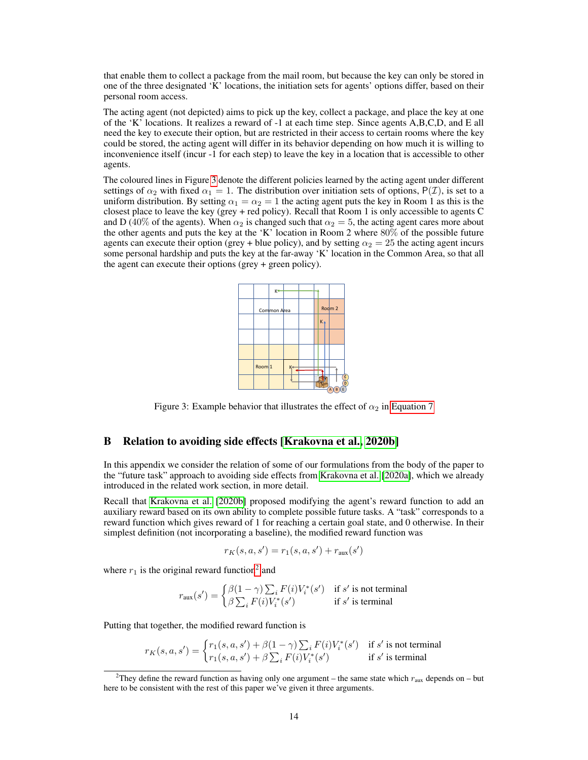that enable them to collect a package from the mail room, but because the key can only be stored in one of the three designated 'K' locations, the initiation sets for agents' options differ, based on their personal room access.

The acting agent (not depicted) aims to pick up the key, collect a package, and place the key at one of the 'K' locations. It realizes a reward of -1 at each time step. Since agents A,B,C,D, and E all need the key to execute their option, but are restricted in their access to certain rooms where the key could be stored, the acting agent will differ in its behavior depending on how much it is willing to inconvenience itself (incur -1 for each step) to leave the key in a location that is accessible to other agents.

<span id="page-13-1"></span>The coloured lines in Figure [3](#page-13-1) denote the different policies learned by the acting agent under different settings of  $\alpha_2$  with fixed  $\alpha_1 = 1$ . The distribution over initiation sets of options,  $P(\mathcal{I})$ , is set to a uniform distribution. By setting  $\alpha_1 = \alpha_2 = 1$  the acting agent puts the key in Room 1 as this is the closest place to leave the key (grey + red policy). Recall that Room 1 is only accessible to agents C and D (40% of the agents). When  $\alpha_2$  is changed such that  $\alpha_2 = 5$ , the acting agent cares more about the other agents and puts the key at the 'K' location in Room 2 where 80% of the possible future agents can execute their option (grey + blue policy), and by setting  $\alpha_2 = 25$  the acting agent incurs some personal hardship and puts the key at the far-away 'K' location in the Common Area, so that all the agent can execute their options (grey + green policy).



Figure 3: Example behavior that illustrates the effect of  $\alpha_2$  in [Equation 7](#page-12-0)

# <span id="page-13-0"></span>B Relation to avoiding side effects [\[Krakovna et al., 2020b\]](#page-10-2)

In this appendix we consider the relation of some of our formulations from the body of the paper to the "future task" approach to avoiding side effects from [Krakovna et al.](#page-10-5) [\[2020a\]](#page-10-5), which we already introduced in the related work section, in more detail.

Recall that [Krakovna et al.](#page-10-2) [\[2020b\]](#page-10-2) proposed modifying the agent's reward function to add an auxiliary reward based on its own ability to complete possible future tasks. A "task" corresponds to a reward function which gives reward of 1 for reaching a certain goal state, and 0 otherwise. In their simplest definition (not incorporating a baseline), the modified reward function was

$$
r_K(s, a, s') = r_1(s, a, s') + r_{\text{aux}}(s')
$$

where  $r_1$  is the original reward function<sup>[2](#page-13-2)</sup> and

$$
r_{\text{aux}}(s') = \begin{cases} \beta(1-\gamma)\sum_{i} F(i)V_i^*(s') & \text{if } s' \text{ is not terminal} \\ \beta\sum_{i} F(i)V_i^*(s') & \text{if } s' \text{ is terminal} \end{cases}
$$

Putting that together, the modified reward function is

$$
r_K(s,a,s') = \begin{cases} r_1(s,a,s') + \beta(1-\gamma)\sum_i F(i)V_i^*(s') & \text{if } s' \text{ is not terminal} \\ r_1(s,a,s') + \beta\sum_i F(i)V_i^*(s') & \text{if } s' \text{ is terminal} \end{cases}
$$

<span id="page-13-2"></span><sup>&</sup>lt;sup>2</sup>They define the reward function as having only one argument – the same state which  $r_{\text{aux}}$  depends on – but here to be consistent with the rest of this paper we've given it three arguments.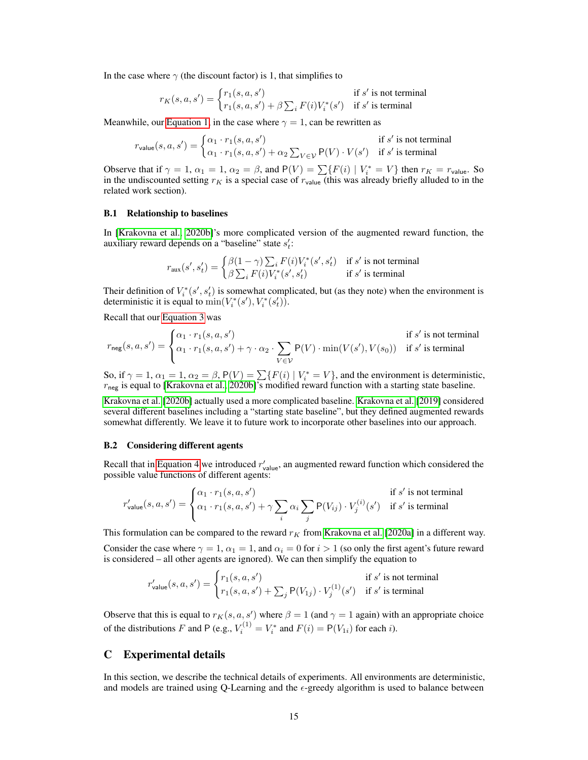In the case where  $\gamma$  (the discount factor) is 1, that simplifies to

$$
r_K(s, a, s') = \begin{cases} r_1(s, a, s') & \text{if } s' \text{ is not terminal} \\ r_1(s, a, s') + \beta \sum_i F(i) V_i^*(s') & \text{if } s' \text{ is terminal} \end{cases}
$$

Meanwhile, our [Equation 1,](#page-2-0) in the case where  $\gamma = 1$ , can be rewritten as

$$
r_{\text{value}}(s, a, s') = \begin{cases} \alpha_1 \cdot r_1(s, a, s') & \text{if } s' \text{ is not terminal} \\ \alpha_1 \cdot r_1(s, a, s') + \alpha_2 \sum_{V \in \mathcal{V}} \mathsf{P}(V) \cdot V(s') & \text{if } s' \text{ is terminal} \end{cases}
$$

Observe that if  $\gamma = 1$ ,  $\alpha_1 = 1$ ,  $\alpha_2 = \beta$ , and  $P(V) = \sum \{F(i) | V_i^* = V\}$  then  $r_K = r_{\text{value}}$ . So in the undiscounted setting  $r_K$  is a special case of  $r_{value}$  (this was already briefly alluded to in the related work section).

#### B.1 Relationship to baselines

In [\[Krakovna et al., 2020b\]](#page-10-2)'s more complicated version of the augmented reward function, the auxiliary reward depends on a "baseline" state  $s_t'$ :

$$
r_{\text{aux}}(s',s'_t) = \begin{cases} \beta(1-\gamma)\sum_i F(i)V^*_i(s',s'_t) & \text{if } s' \text{ is not terminal} \\ \beta\sum_i F(i)V^*_i(s',s'_t) & \text{if } s' \text{ is terminal} \end{cases}
$$

Their definition of  $V_i^*(s', s_t')$  is somewhat complicated, but (as they note) when the environment is deterministic it is equal to  $\min(V_i^*(s'), V_i^*(s'_t))$ .

Recall that our [Equation 3](#page-3-1) was

$$
r_{\text{neg}}(s, a, s') = \begin{cases} \alpha_1 \cdot r_1(s, a, s') & \text{if } s' \text{ is not terminal} \\ \alpha_1 \cdot r_1(s, a, s') + \gamma \cdot \alpha_2 \cdot \sum_{V \in \mathcal{V}} \mathsf{P}(V) \cdot \min(V(s'), V(s_0)) & \text{if } s' \text{ is terminal} \end{cases}
$$

So, if  $\gamma = 1$ ,  $\alpha_1 = 1$ ,  $\alpha_2 = \beta$ ,  $P(V) = \sum \{F(i) | V_i^* = V\}$ , and the environment is deterministic,  $r_{\text{neg}}$  is equal to [\[Krakovna et al., 2020b\]](#page-10-2)'s modified reward function with a starting state baseline.

[Krakovna et al.](#page-10-2) [\[2020b\]](#page-10-2) actually used a more complicated baseline. [Krakovna et al.](#page-10-3) [\[2019\]](#page-10-3) considered several different baselines including a "starting state baseline", but they defined augmented rewards somewhat differently. We leave it to future work to incorporate other baselines into our approach.

#### B.2 Considering different agents

Recall that in [Equation 4](#page-4-1) we introduced  $r_{\text{value}}'$ , an augmented reward function which considered the possible value functions of different agents:

$$
r_{\text{value}}'(s, a, s') = \begin{cases} \alpha_1 \cdot r_1(s, a, s') & \text{if } s' \text{ is not terminal} \\ \alpha_1 \cdot r_1(s, a, s') + \gamma \sum_i \alpha_i \sum_j \mathsf{P}(V_{ij}) \cdot V_j^{(i)}(s') & \text{if } s' \text{ is terminal} \end{cases}
$$

This formulation can be compared to the reward  $r_K$  from [Krakovna et al.](#page-10-5) [\[2020a\]](#page-10-5) in a different way.

Consider the case where  $\gamma = 1$ ,  $\alpha_1 = 1$ , and  $\alpha_i = 0$  for  $i > 1$  (so only the first agent's future reward is considered – all other agents are ignored). We can then simplify the equation to

$$
r'_{\text{value}}(s, a, s') = \begin{cases} r_1(s, a, s') & \text{if } s' \text{ is not terminal} \\ r_1(s, a, s') + \sum_j P(V_{1j}) \cdot V_j^{(1)}(s') & \text{if } s' \text{ is terminal} \end{cases}
$$

Observe that this is equal to  $r_K(s, a, s')$  where  $\beta = 1$  (and  $\gamma = 1$  again) with an appropriate choice of the distributions F and P (e.g.,  $V_i^{(1)} = V_i^*$  and  $F(i) = P(V_{1i})$  for each i).

## <span id="page-14-0"></span>C Experimental details

In this section, we describe the technical details of experiments. All environments are deterministic, and models are trained using Q-Learning and the  $\epsilon$ -greedy algorithm is used to balance between